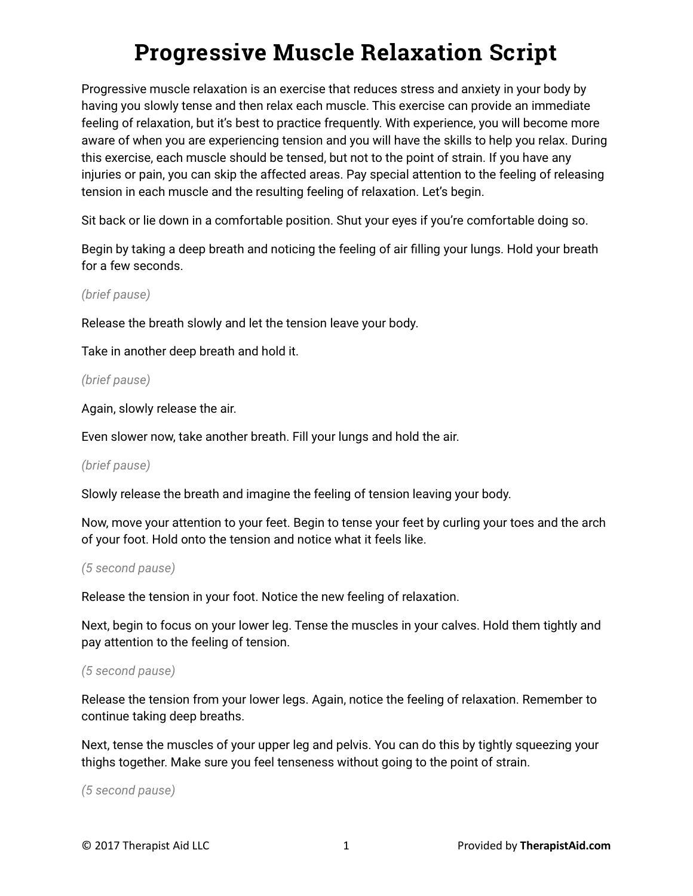# **Progressive Muscle Relaxation Script**

Progressive muscle relaxation is an exercise that reduces stress and anxiety in your body by having you slowly tense and then relax each muscle. This exercise can provide an immediate feeling of relaxation, but it's best to practice frequently. With experience, you will become more aware of when you are experiencing tension and you will have the skills to help you relax. During this exercise, each muscle should be tensed, but not to the point of strain. If you have any injuries or pain, you can skip the affected areas. Pay special attention to the feeling of releasing tension in each muscle and the resulting feeling of relaxation. Let's begin.

Sit back or lie down in a comfortable position. Shut your eyes if you're comfortable doing so.

Begin by taking a deep breath and noticing the feeling of air filling your lungs. Hold your breath for a few seconds.

*(brief pause)*

Release the breath slowly and let the tension leave your body.

Take in another deep breath and hold it.

#### *(brief pause)*

Again, slowly release the air.

Even slower now, take another breath. Fill your lungs and hold the air.

## *(brief pause)*

Slowly release the breath and imagine the feeling of tension leaving your body.

Now, move your attention to your feet. Begin to tense your feet by curling your toes and the arch of your foot. Hold onto the tension and notice what it feels like.

#### *(5 second pause)*

Release the tension in your foot. Notice the new feeling of relaxation.

Next, begin to focus on your lower leg. Tense the muscles in your calves. Hold them tightly and pay attention to the feeling of tension.

## *(5 second pause)*

Release the tension from your lower legs. Again, notice the feeling of relaxation. Remember to continue taking deep breaths.

Next, tense the muscles of your upper leg and pelvis. You can do this by tightly squeezing your thighs together. Make sure you feel tenseness without going to the point of strain.

*(5 second pause)*